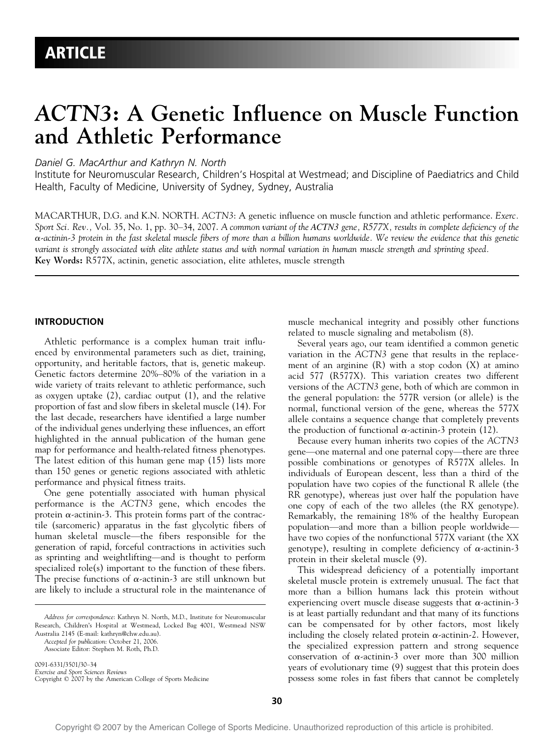# ACTN3: A Genetic Influence on Muscle Function and Athletic Performance

Daniel G. MacArthur and Kathryn N. North

Institute for Neuromuscular Research, Children's Hospital at Westmead; and Discipline of Paediatrics and Child Health, Faculty of Medicine, University of Sydney, Sydney, Australia

MACARTHUR, D.G. and K.N. NORTH. ACTN3: A genetic influence on muscle function and athletic performance. Exerc. Sport Sci. Rev., Vol. 35, No. 1, pp. 30–34, 2007. A common variant of the ACTN3 gene,  $R577X$ , results in complete deficiency of the  $\alpha$ -actinin-3 protein in the fast skeletal muscle fibers of more than a billion humans worldwide. We review the evidence that this genetic variant is strongly associated with elite athlete status and with normal variation in human muscle strength and sprinting speed. Key Words: R577X, actinin, genetic association, elite athletes, muscle strength

# INTRODUCTION

Athletic performance is a complex human trait influenced by environmental parameters such as diet, training, opportunity, and heritable factors, that is, genetic makeup. Genetic factors determine 20%-80% of the variation in a wide variety of traits relevant to athletic performance, such as oxygen uptake (2), cardiac output (1), and the relative proportion of fast and slow fibers in skeletal muscle (14). For the last decade, researchers have identified a large number of the individual genes underlying these influences, an effort highlighted in the annual publication of the human gene map for performance and health-related fitness phenotypes. The latest edition of this human gene map (15) lists more than 150 genes or genetic regions associated with athletic performance and physical fitness traits.

One gene potentially associated with human physical performance is the ACTN3 gene, which encodes the protein  $\alpha$ -actinin-3. This protein forms part of the contractile (sarcomeric) apparatus in the fast glycolytic fibers of human skeletal muscle—the fibers responsible for the generation of rapid, forceful contractions in activities such as sprinting and weightlifting—and is thought to perform specialized role(s) important to the function of these fibers. The precise functions of  $\alpha$ -actinin-3 are still unknown but are likely to include a structural role in the maintenance of

Address for correspondence: Kathryn N. North, M.D., Institute for Neuromuscular Research, Children's Hospital at Westmead, Locked Bag 4001, Westmead NSW Australia 2145 (E-mail: kathryn@chw.edu.au).

Accepted for publication: October 21, 2006.

0091-6331/3501/30-34 Exercise and Sport Sciences Reviews<br>Copyright © 2007 by the American College of Sports Medicine muscle mechanical integrity and possibly other functions related to muscle signaling and metabolism (8).

Several years ago, our team identified a common genetic variation in the ACTN3 gene that results in the replacement of an arginine  $(R)$  with a stop codon  $(X)$  at amino acid 577 (R577X). This variation creates two different versions of the ACTN3 gene, both of which are common in the general population: the 577R version (or allele) is the normal, functional version of the gene, whereas the 577X allele contains a sequence change that completely prevents the production of functional  $\alpha$ -actinin-3 protein (12).

Because every human inherits two copies of the ACTN3 gene—one maternal and one paternal copy—there are three possible combinations or genotypes of R577X alleles. In individuals of European descent, less than a third of the population have two copies of the functional R allele (the RR genotype), whereas just over half the population have one copy of each of the two alleles (the RX genotype). Remarkably, the remaining 18% of the healthy European population—and more than a billion people worldwide have two copies of the nonfunctional 577X variant (the XX genotype), resulting in complete deficiency of  $\alpha$ -actinin-3 protein in their skeletal muscle (9).

This widespread deficiency of a potentially important skeletal muscle protein is extremely unusual. The fact that more than a billion humans lack this protein without experiencing overt muscle disease suggests that  $\alpha$ -actinin-3 is at least partially redundant and that many of its functions can be compensated for by other factors, most likely including the closely related protein  $\alpha$ -actinin-2. However, the specialized expression pattern and strong sequence conservation of  $\alpha$ -actinin-3 over more than 300 million years of evolutionary time (9) suggest that this protein does possess some roles in fast fibers that cannot be completely

Associate Editor: Stephen M. Roth, Ph.D.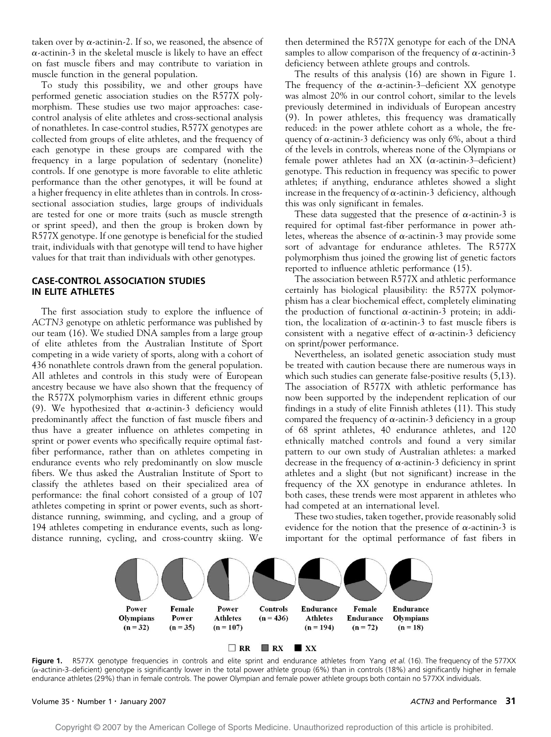taken over by  $\alpha$ -actinin-2. If so, we reasoned, the absence of  $\alpha$ -actinin-3 in the skeletal muscle is likely to have an effect on fast muscle fibers and may contribute to variation in muscle function in the general population.

To study this possibility, we and other groups have performed genetic association studies on the R577X polymorphism. These studies use two major approaches: casecontrol analysis of elite athletes and cross-sectional analysis of nonathletes. In case-control studies, R577X genotypes are collected from groups of elite athletes, and the frequency of each genotype in these groups are compared with the frequency in a large population of sedentary (nonelite) controls. If one genotype is more favorable to elite athletic performance than the other genotypes, it will be found at a higher frequency in elite athletes than in controls. In crosssectional association studies, large groups of individuals are tested for one or more traits (such as muscle strength or sprint speed), and then the group is broken down by R577X genotype. If one genotype is beneficial for the studied trait, individuals with that genotype will tend to have higher values for that trait than individuals with other genotypes.

# CASE-CONTROL ASSOCIATION STUDIES IN ELITE ATHLETES

The first association study to explore the influence of ACTN3 genotype on athletic performance was published by our team (16). We studied DNA samples from a large group of elite athletes from the Australian Institute of Sport competing in a wide variety of sports, along with a cohort of 436 nonathlete controls drawn from the general population. All athletes and controls in this study were of European ancestry because we have also shown that the frequency of the R577X polymorphism varies in different ethnic groups (9). We hypothesized that  $\alpha$ -actinin-3 deficiency would predominantly affect the function of fast muscle fibers and thus have a greater influence on athletes competing in sprint or power events who specifically require optimal fastfiber performance, rather than on athletes competing in endurance events who rely predominantly on slow muscle fibers. We thus asked the Australian Institute of Sport to classify the athletes based on their specialized area of performance: the final cohort consisted of a group of 107 athletes competing in sprint or power events, such as shortdistance running, swimming, and cycling, and a group of 194 athletes competing in endurance events, such as longdistance running, cycling, and cross-country skiing. We then determined the R577X genotype for each of the DNA samples to allow comparison of the frequency of  $\alpha$ -actinin-3 deficiency between athlete groups and controls.

The results of this analysis (16) are shown in Figure 1. The frequency of the  $\alpha$ -actinin-3-deficient XX genotype was almost 20% in our control cohort, similar to the levels previously determined in individuals of European ancestry (9). In power athletes, this frequency was dramatically reduced: in the power athlete cohort as a whole, the frequency of  $\alpha$ -actinin-3 deficiency was only 6%, about a third of the levels in controls, whereas none of the Olympians or female power athletes had an XX ( $\alpha$ -actinin-3-deficient) genotype. This reduction in frequency was specific to power athletes; if anything, endurance athletes showed a slight increase in the frequency of  $\alpha$ -actinin-3 deficiency, although this was only significant in females.

These data suggested that the presence of  $\alpha$ -actinin-3 is required for optimal fast-fiber performance in power athletes, whereas the absence of  $\alpha$ -actinin-3 may provide some sort of advantage for endurance athletes. The R577X polymorphism thus joined the growing list of genetic factors reported to influence athletic performance (15).

The association between R577X and athletic performance certainly has biological plausibility: the R577X polymorphism has a clear biochemical effect, completely eliminating the production of functional  $\alpha$ -actinin-3 protein; in addition, the localization of  $\alpha$ -actinin-3 to fast muscle fibers is consistent with a negative effect of  $\alpha$ -actinin-3 deficiency on sprint/power performance.

Nevertheless, an isolated genetic association study must be treated with caution because there are numerous ways in which such studies can generate false-positive results (5,13). The association of R577X with athletic performance has now been supported by the independent replication of our findings in a study of elite Finnish athletes (11). This study compared the frequency of  $\alpha$ -actinin-3 deficiency in a group of 68 sprint athletes, 40 endurance athletes, and 120 ethnically matched controls and found a very similar pattern to our own study of Australian athletes: a marked decrease in the frequency of  $\alpha$ -actinin-3 deficiency in sprint athletes and a slight (but not significant) increase in the frequency of the XX genotype in endurance athletes. In both cases, these trends were most apparent in athletes who had competed at an international level.

These two studies, taken together, provide reasonably solid evidence for the notion that the presence of  $\alpha$ -actinin-3 is important for the optimal performance of fast fibers in



 $\Box$  RR  $RX$  XX

Figure 1. R577X genotype frequencies in controls and elite sprint and endurance athletes from Yang et al. (16). The frequency of the 577XX  $(\alpha$ -actinin-3-deficient) genotype is significantly lower in the total power athlete group (6%) than in controls (18%) and significantly higher in female endurance athletes (29%) than in female controls. The power Olympian and female power athlete groups both contain no 577XX individuals.

### Volume 35 • Number 1 • January 2007 **ACTN3** and Performance 31 **ACTN3** and Performance 31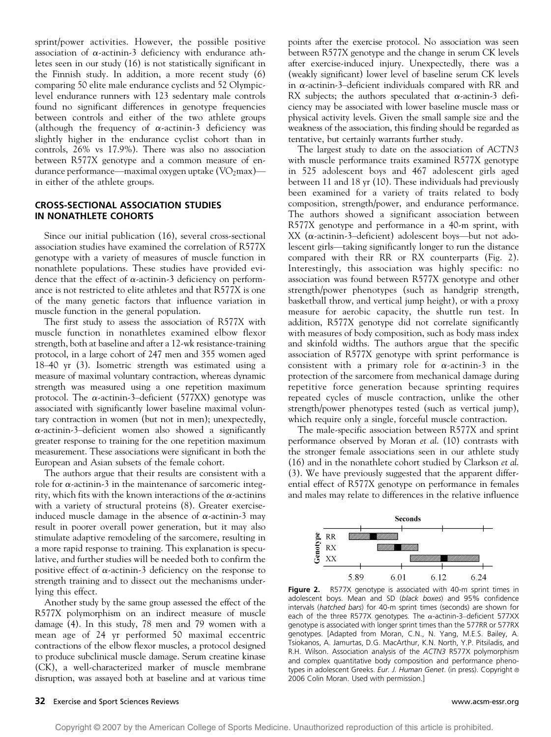sprint/power activities. However, the possible positive association of  $\alpha$ -actinin-3 deficiency with endurance athletes seen in our study (16) is not statistically significant in the Finnish study. In addition, a more recent study (6) comparing 50 elite male endurance cyclists and 52 Olympiclevel endurance runners with 123 sedentary male controls found no significant differences in genotype frequencies between controls and either of the two athlete groups (although the frequency of  $\alpha$ -actinin-3 deficiency was slightly higher in the endurance cyclist cohort than in controls, 26% vs 17.9%). There was also no association between R577X genotype and a common measure of endurance performance—maximal oxygen uptake ( $\text{VO}_2$ max) in either of the athlete groups.

# CROSS-SECTIONAL ASSOCIATION STUDIES IN NONATHLETE COHORTS

Since our initial publication (16), several cross-sectional association studies have examined the correlation of R577X genotype with a variety of measures of muscle function in nonathlete populations. These studies have provided evidence that the effect of  $\alpha$ -actinin-3 deficiency on performance is not restricted to elite athletes and that R577X is one of the many genetic factors that influence variation in muscle function in the general population.

The first study to assess the association of R577X with muscle function in nonathletes examined elbow flexor strength, both at baseline and after a 12-wk resistance-training protocol, in a large cohort of 247 men and 355 women aged  $18-40$  yr (3). Isometric strength was estimated using a measure of maximal voluntary contraction, whereas dynamic strength was measured using a one repetition maximum protocol. The  $\alpha$ -actinin-3-deficient (577XX) genotype was associated with significantly lower baseline maximal voluntary contraction in women (but not in men); unexpectedly,  $\alpha$ -actinin-3-deficient women also showed a significantly greater response to training for the one repetition maximum measurement. These associations were significant in both the European and Asian subsets of the female cohort.

The authors argue that their results are consistent with a role for  $\alpha$ -actinin-3 in the maintenance of sarcomeric integrity, which fits with the known interactions of the  $\alpha$ -actinins with a variety of structural proteins (8). Greater exerciseinduced muscle damage in the absence of  $\alpha$ -actinin-3 may result in poorer overall power generation, but it may also stimulate adaptive remodeling of the sarcomere, resulting in a more rapid response to training. This explanation is speculative, and further studies will be needed both to confirm the positive effect of  $\alpha$ -actinin-3 deficiency on the response to strength training and to dissect out the mechanisms underlying this effect.

Another study by the same group assessed the effect of the R577X polymorphism on an indirect measure of muscle damage (4). In this study, 78 men and 79 women with a mean age of 24 yr performed 50 maximal eccentric contractions of the elbow flexor muscles, a protocol designed to produce subclinical muscle damage. Serum creatine kinase (CK), a well-characterized marker of muscle membrane disruption, was assayed both at baseline and at various time

points after the exercise protocol. No association was seen between R577X genotype and the change in serum CK levels after exercise-induced injury. Unexpectedly, there was a (weakly significant) lower level of baseline serum CK levels in  $\alpha$ -actinin-3-deficient individuals compared with RR and RX subjects; the authors speculated that  $\alpha$ -actinin-3 deficiency may be associated with lower baseline muscle mass or physical activity levels. Given the small sample size and the weakness of the association, this finding should be regarded as tentative, but certainly warrants further study.

The largest study to date on the association of ACTN3 with muscle performance traits examined R577X genotype in 525 adolescent boys and 467 adolescent girls aged between 11 and 18 yr (10). These individuals had previously been examined for a variety of traits related to body composition, strength/power, and endurance performance. The authors showed a significant association between R577X genotype and performance in a 40-m sprint, with XX ( $\alpha$ -actinin-3-deficient) adolescent boys—but not adolescent girls—taking significantly longer to run the distance compared with their RR or RX counterparts (Fig. 2). Interestingly, this association was highly specific: no association was found between R577X genotype and other strength/power phenotypes (such as handgrip strength, basketball throw, and vertical jump height), or with a proxy measure for aerobic capacity, the shuttle run test. In addition, R577X genotype did not correlate significantly with measures of body composition, such as body mass index and skinfold widths. The authors argue that the specific association of R577X genotype with sprint performance is consistent with a primary role for  $\alpha$ -actinin-3 in the protection of the sarcomere from mechanical damage during repetitive force generation because sprinting requires repeated cycles of muscle contraction, unlike the other strength/power phenotypes tested (such as vertical jump), which require only a single, forceful muscle contraction.

The male-specific association between R577X and sprint performance observed by Moran et al. (10) contrasts with the stronger female associations seen in our athlete study (16) and in the nonathlete cohort studied by Clarkson et al. (3). We have previously suggested that the apparent differential effect of R577X genotype on performance in females and males may relate to differences in the relative influence



Figure 2. R577X genotype is associated with 40-m sprint times in adolescent boys. Mean and SD (black boxes) and 95% confidence intervals (hatched bars) for 40-m sprint times (seconds) are shown for each of the three R577X genotypes. The  $\alpha$ -actinin-3-deficient 577XX genotype is associated with longer sprint times than the 577RR or 577RX genotypes. [Adapted from Moran, C.N., N. Yang, M.E.S. Bailey, A. Tsiokanos, A. Jamurtas, D.G. MacArthur, K.N. North, Y.P. Pitsiladis, and R.H. Wilson. Association analysis of the ACTN3 R577X polymorphism and complex quantitative body composition and performance phenotypes in adolescent Greeks. Eur. J. Human Genet. (in press). Copyright ® 2006 Colin Moran. Used with permission.]

### 32 Exercise and Sport Sciences Reviews www.acsm-essr.org

Copyright @ 2007 by the American College of Sports Medicine. Unauthorized reproduction of this article is prohibited.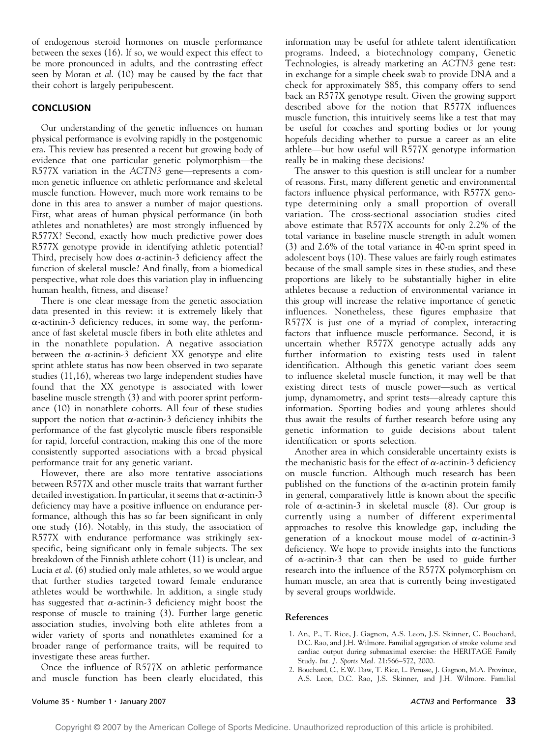of endogenous steroid hormones on muscle performance between the sexes (16). If so, we would expect this effect to be more pronounced in adults, and the contrasting effect seen by Moran et al. (10) may be caused by the fact that their cohort is largely peripubescent.

# **CONCLUSION**

Our understanding of the genetic influences on human physical performance is evolving rapidly in the postgenomic era. This review has presented a recent but growing body of evidence that one particular genetic polymorphism-the R577X variation in the ACTN3 gene—represents a common genetic influence on athletic performance and skeletal muscle function. However, much more work remains to be done in this area to answer a number of major questions. First, what areas of human physical performance (in both athletes and nonathletes) are most strongly influenced by R577X? Second, exactly how much predictive power does R577X genotype provide in identifying athletic potential? Third, precisely how does  $\alpha$ -actinin-3 deficiency affect the function of skeletal muscle? And finally, from a biomedical perspective, what role does this variation play in influencing human health, fitness, and disease?

There is one clear message from the genetic association data presented in this review: it is extremely likely that  $\alpha$ -actinin-3 deficiency reduces, in some way, the performance of fast skeletal muscle fibers in both elite athletes and in the nonathlete population. A negative association between the  $\alpha$ -actinin-3-deficient XX genotype and elite sprint athlete status has now been observed in two separate studies (11,16), whereas two large independent studies have found that the XX genotype is associated with lower baseline muscle strength (3) and with poorer sprint performance (10) in nonathlete cohorts. All four of these studies support the notion that  $\alpha$ -actinin-3 deficiency inhibits the performance of the fast glycolytic muscle fibers responsible for rapid, forceful contraction, making this one of the more consistently supported associations with a broad physical performance trait for any genetic variant.

However, there are also more tentative associations between R577X and other muscle traits that warrant further detailed investigation. In particular, it seems that  $\alpha$ -actinin-3 deficiency may have a positive influence on endurance performance, although this has so far been significant in only one study (16). Notably, in this study, the association of R577X with endurance performance was strikingly sexspecific, being significant only in female subjects. The sex breakdown of the Finnish athlete cohort (11) is unclear, and Lucia et al. (6) studied only male athletes, so we would argue that further studies targeted toward female endurance athletes would be worthwhile. In addition, a single study has suggested that  $\alpha$ -actinin-3 deficiency might boost the response of muscle to training (3). Further large genetic association studies, involving both elite athletes from a wider variety of sports and nonathletes examined for a broader range of performance traits, will be required to investigate these areas further.

Once the influence of R577X on athletic performance and muscle function has been clearly elucidated, this information may be useful for athlete talent identification programs. Indeed, a biotechnology company, Genetic Technologies, is already marketing an ACTN3 gene test: in exchange for a simple cheek swab to provide DNA and a check for approximately \$85, this company offers to send back an R577X genotype result. Given the growing support described above for the notion that R577X influences muscle function, this intuitively seems like a test that may be useful for coaches and sporting bodies or for young hopefuls deciding whether to pursue a career as an elite athlete—but how useful will R577X genotype information really be in making these decisions?

The answer to this question is still unclear for a number of reasons. First, many different genetic and environmental factors influence physical performance, with R577X genotype determining only a small proportion of overall variation. The cross-sectional association studies cited above estimate that R577X accounts for only 2.2% of the total variance in baseline muscle strength in adult women (3) and 2.6% of the total variance in 40-m sprint speed in adolescent boys (10). These values are fairly rough estimates because of the small sample sizes in these studies, and these proportions are likely to be substantially higher in elite athletes because a reduction of environmental variance in this group will increase the relative importance of genetic influences. Nonetheless, these figures emphasize that R577X is just one of a myriad of complex, interacting factors that influence muscle performance. Second, it is uncertain whether R577X genotype actually adds any further information to existing tests used in talent identification. Although this genetic variant does seem to influence skeletal muscle function, it may well be that existing direct tests of muscle power-such as vertical jump, dynamometry, and sprint tests—already capture this information. Sporting bodies and young athletes should thus await the results of further research before using any genetic information to guide decisions about talent identification or sports selection.

Another area in which considerable uncertainty exists is the mechanistic basis for the effect of  $\alpha$ -actinin-3 deficiency on muscle function. Although much research has been published on the functions of the  $\alpha$ -actinin protein family in general, comparatively little is known about the specific role of  $\alpha$ -actinin-3 in skeletal muscle (8). Our group is currently using a number of different experimental approaches to resolve this knowledge gap, including the generation of a knockout mouse model of  $\alpha$ -actinin-3 deficiency. We hope to provide insights into the functions of  $\alpha$ -actinin-3 that can then be used to guide further research into the influence of the R577X polymorphism on human muscle, an area that is currently being investigated by several groups worldwide.

## References

- 1. An, P., T. Rice, J. Gagnon, A.S. Leon, J.S. Skinner, C. Bouchard, D.C. Rao, and J.H. Wilmore. Familial aggregation of stroke volume and cardiac output during submaximal exercise: the HERITAGE Family Study. Int. J. Sports Med. 21:566-572, 2000.
- 2. Bouchard, C., E.W. Daw, T. Rice, L. Perusse, J. Gagnon, M.A. Province, A.S. Leon, D.C. Rao, J.S. Skinner, and J.H. Wilmore. Familial